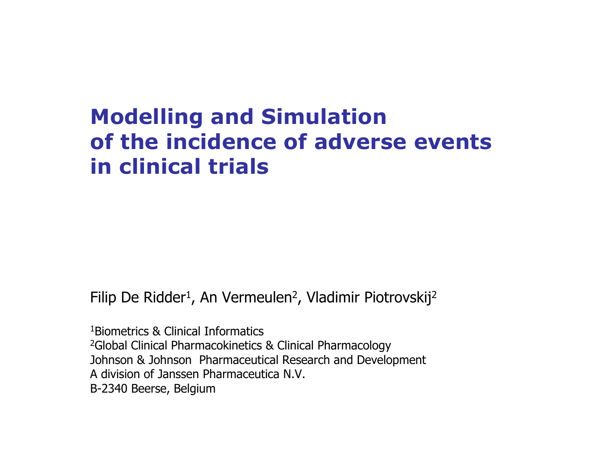#### **Modelling and Simulation of the incidence of adverse eventsin clinical trials**

Filip De Ridder 1, An Vermeulen 2, Vladimir Piotrovskij 2

1Biometrics & Clinical Informatics<sup>2</sup>Global Clinical Pharmacokinetics & Clinical Pharmacology Johnson & Johnson Pharmaceutical Research and Develop ment A division of Janssen Pharmaceutica N.V.B-2340 Beerse, Belgium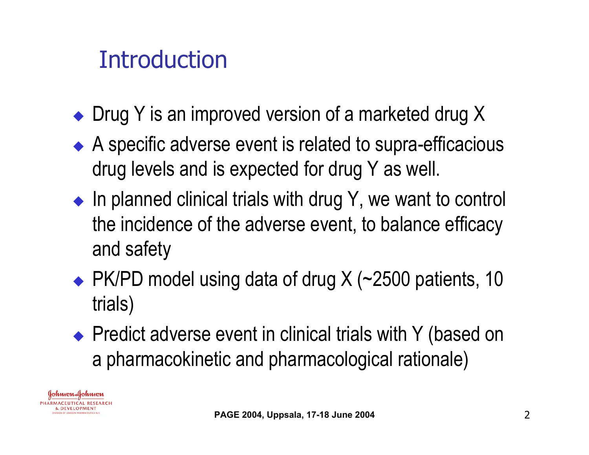## **Introduction**

- Drug Y is an improved version of a marketed drug X
- ◆ A specific adverse event is related to supra-efficacious drug levels and is expected for drug Y as well.
- $\bullet$  In planned clinical trials with drug Y, we want to control the incidence of the adverse event, to balance efficacy and safety
- ◆ PK/PD model using data of drug X (~2500 patients, 10 trials)
- ◆ Predict adverse event in clinical trials with Y (based on a pharmacokinetic and pharmacological rationale)

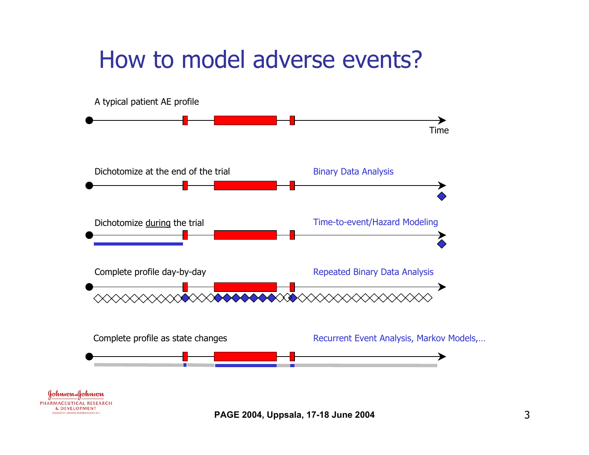### How to model adverse events?

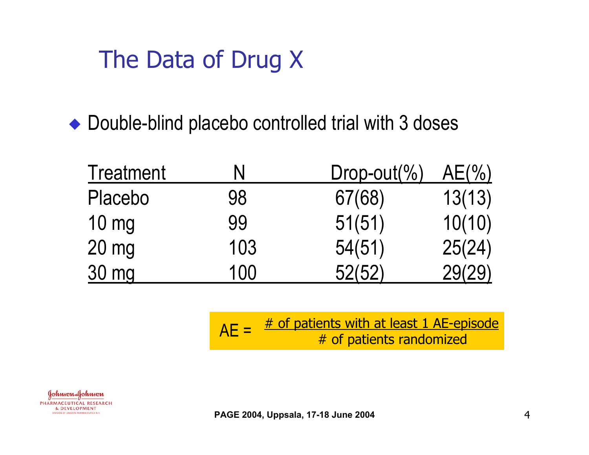## The Data of Drug X

#### • Double-blind placebo controlled trial with 3 doses

| <b>Treatment</b> | N   | $Drop-out(\% )$ | $AE(\%)$ |
|------------------|-----|-----------------|----------|
| Placebo          | 98  | 67(68)          | 13(13)   |
| $10 \text{ mg}$  | 99  | 51(51)          | 10(10)   |
| $20 \text{ mg}$  | 103 | 54(51)          | 25(24)   |
| <u>30 mg</u>     | 100 | 52(52)          | 29(29)   |

# of patients with at least 1 AE-episode  $AE = \frac{\text{# or patterns with at least 1 AE-ep}}{\text{# of patients randomized}}$ 



**PAGE 2004, Uppsala, 17-18 June 2004** 4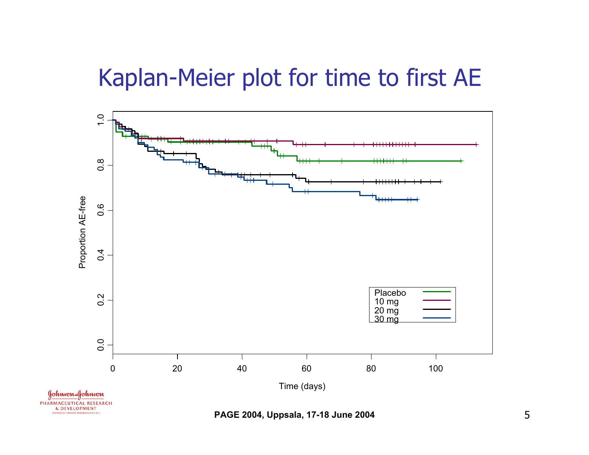## Kaplan-Meier plot for time to first AE

![](_page_4_Figure_1.jpeg)

**PAGE 2004, Uppsala, 17-18 June 2004** 5

DIVISION OF JANSSEN PHARMACEUTICA N.V.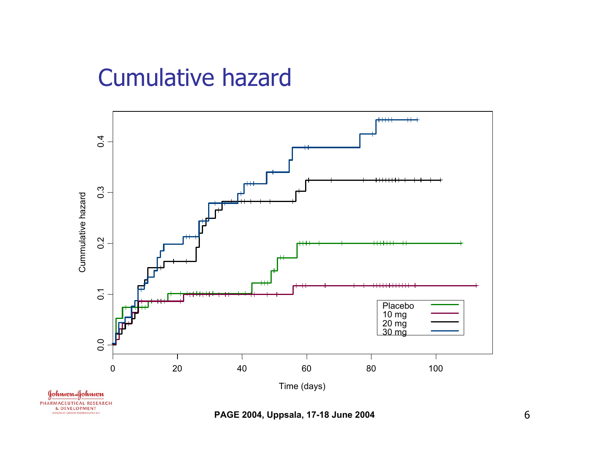### Cumulative hazard

DIVISION OF JANSSEN PHARMACEUTICA N.V.

![](_page_5_Figure_1.jpeg)

**PAGE 2004, Uppsala, 17-18 June 2004** 6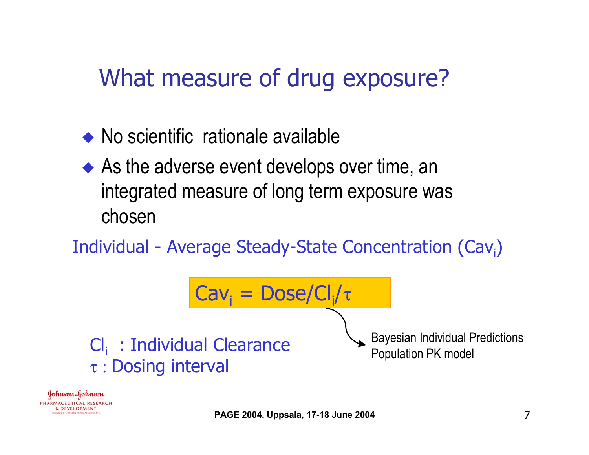## What measure of drug exposure?

- $\rightarrow$  No scientific rationale available
- $\blacklozenge$  As the adverse event develops over time, an integrated measure of long term exposure was chosen
- Individual Average Steady-State Concentration (Cav<sub>i</sub>)

![](_page_6_Figure_4.jpeg)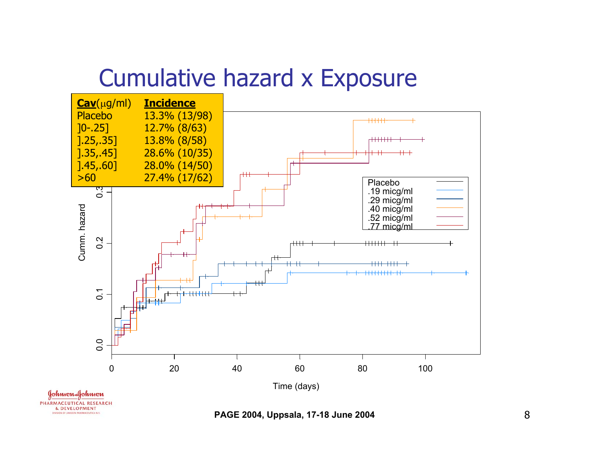## Cumulative hazard x Exposure

![](_page_7_Figure_1.jpeg)

**PAGE 2004, Uppsala, 17-18 June 2004** 8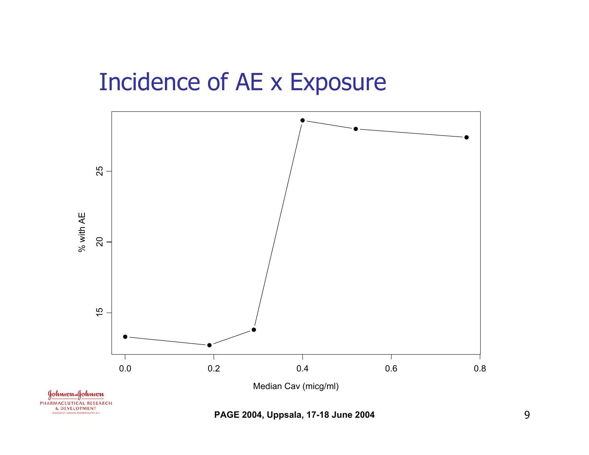#### Incidence of AE x Exposure

![](_page_8_Figure_1.jpeg)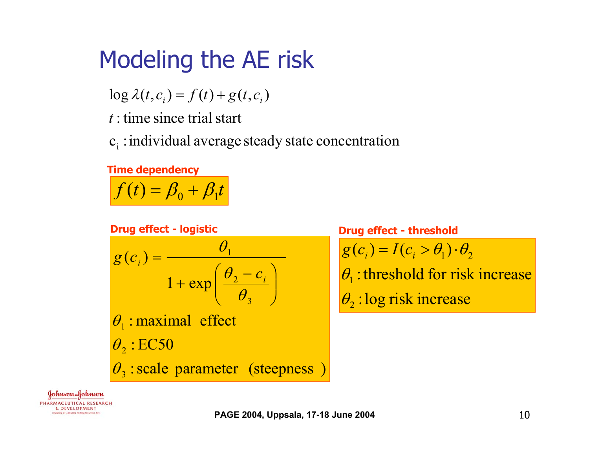## Modeling the AE risk

 $\log \lambda(t, c_i) = f(t) + g(t, c_i)$ 

*t* : time since trial start

 $c_i$ : individual average steady state concentration

#### **Time dependency**

 $f(t) = \beta_0 + \beta_1 t$  $=$   $\beta_{0} + \beta_{1}$ 

 $\theta_3$ : scale parameter (steepness)  $\theta_2$ : EC50  $\theta_1$ : maximal effect  $1 + \exp$  $(c_i)$ 3 2 1  $\theta$  $\theta$  $\theta$   $\int$  $\bigg)$  $\setminus$  $+\exp\left(\frac{\theta_2-\theta_1}{2}\right)$ = *i*  $\theta$ <sub>2</sub>  $-\theta$ <sub>2</sub>  $-c$ *g c* **Drug effect - logistic**  $\theta_2$ : log risk increase  $\theta_1$ : threshold for risk increase  $g(c_i) = I(c_i > \theta_1) \cdot \theta_2$ **Drug effect - threshold**

Johnson-Johnson PHARMACEUTICAL RESEARCH **& DEVELOPMENT** DIVISION OF JANSSEN PHARMACEUTICA N.V.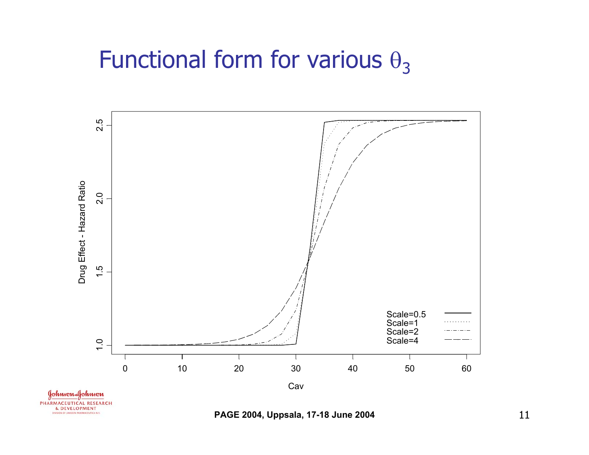#### Functional form for various  $\theta_3$

![](_page_10_Figure_1.jpeg)

**PAGE 2004, Uppsala, 17-18 June 2004** 11

DIVISION OF JANSSEN PHARMACEUTICA N.V.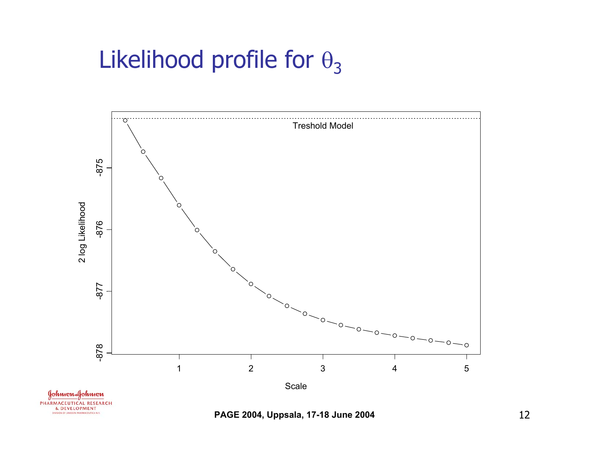### Likelihood profile for  $\theta_3$

![](_page_11_Figure_1.jpeg)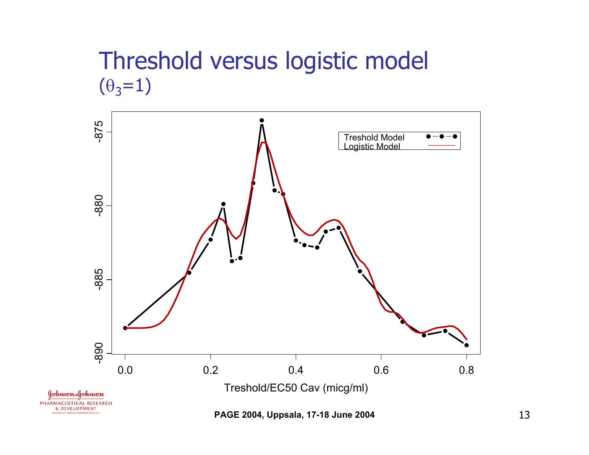#### Threshold versus logistic model  $(\theta_3 = 1)$

![](_page_12_Figure_1.jpeg)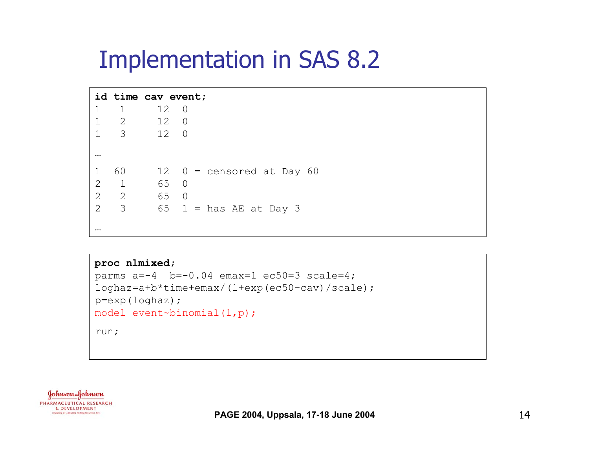#### Implementation in SAS 8.2

#### **id time cav event;** 1 1 12 01 2 12 01 3 12 0 … 1  $60$  12  $0 =$  censored at Day  $60$ 2 1 65 02 2 65 0 2 3 65 1 = has AE at Day 3 …

```
proc nlmixed;
parms a=-4 b=-0.04 emax=1 ec50=3 scale=4;
loghaz=a+b*time+emax/(1+exp(ec50-cav)/scale);
p=exp(loghaz);
model event~binomial(1,p);
run;
```
![](_page_13_Picture_3.jpeg)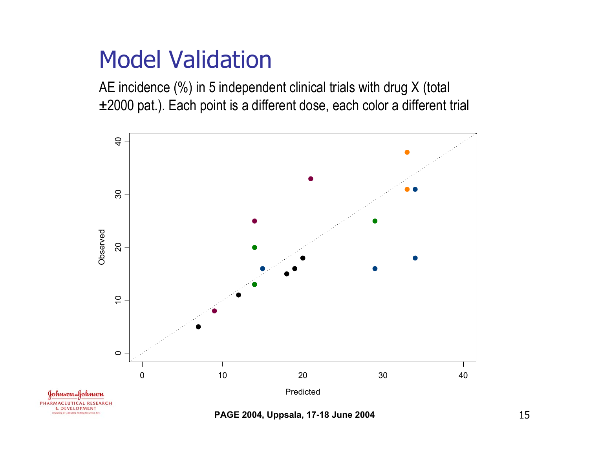### Model Validation

VISION OF JANSSEN PHARMACEUTICA N.V.

AE incidence (%) in 5 independent clinical trials with drug X (total ±2000 pat.). Each point is a different dose, each color a different trial

![](_page_14_Figure_2.jpeg)

**PAGE 2004, Uppsala, 17-18 June 2004** 15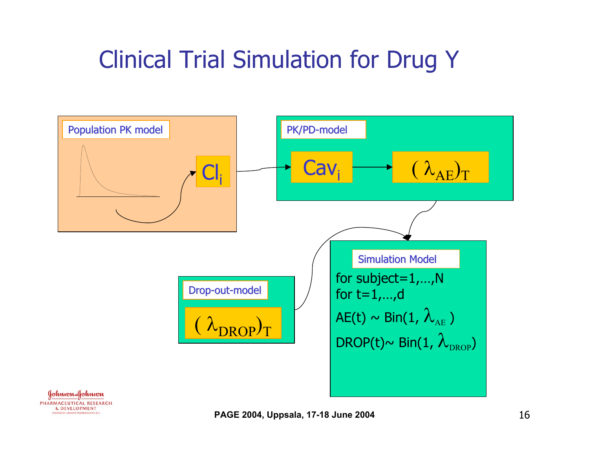## Clinical Trial Simulation for Drug Y

![](_page_15_Figure_1.jpeg)

Johnson Johnson PHARMACEUTICAL RESEARCH **& DEVELOPMENT** DIVISION OF JANSSEN PHARMACEUTICA N.V.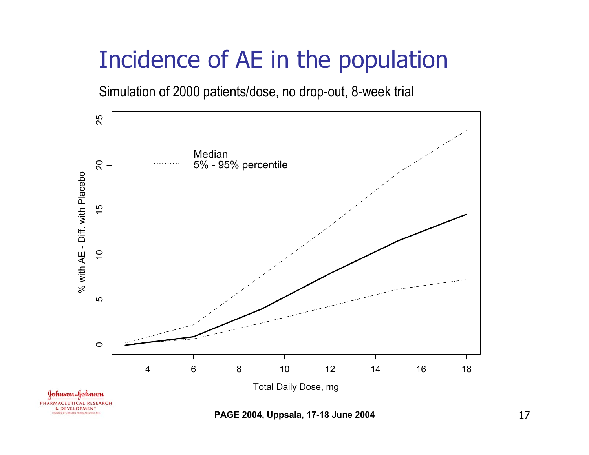# Incidence of AE in the population

Simulation of 2000 patients/dose, no drop-out, 8-week trial

![](_page_16_Figure_2.jpeg)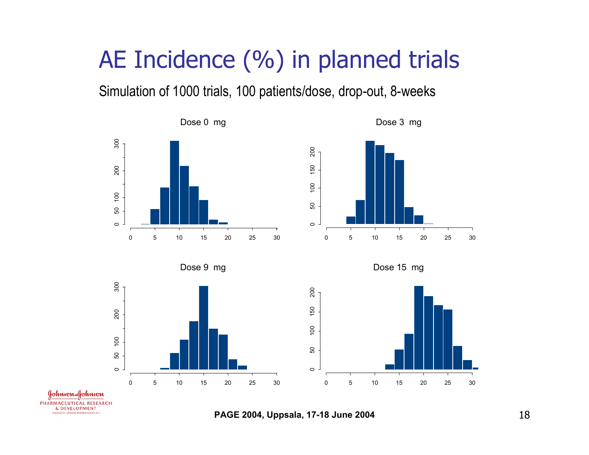# AE Incidence (%) in planned trials

Simulation of 1000 trials, 100 patients/dose, drop-out, 8-weeks

![](_page_17_Figure_2.jpeg)

Dose 3 mg

![](_page_17_Figure_4.jpeg)

Dose 9 mg

![](_page_17_Figure_6.jpeg)

![](_page_17_Figure_7.jpeg)

Johnson Johnson PHARMACEUTICAL RESEARCH **& DEVELOPMENT** DIVISION OF JANSSEN PHARMACEUTICA N.V.

**PAGE 2004, Uppsala, 17-18 June 2004** 18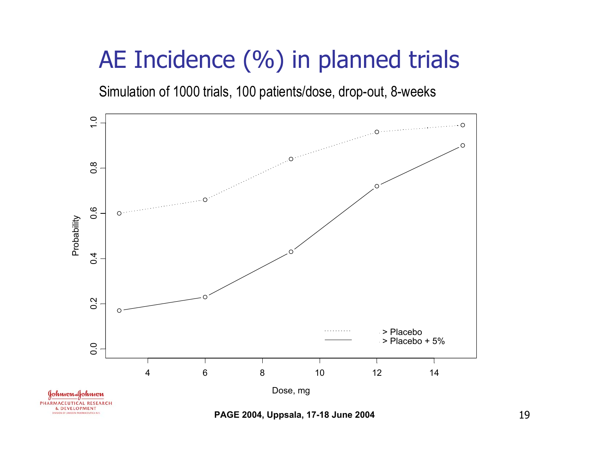## AE Incidence (%) in planned trials

Simulation of 1000 trials, 100 patients/dose, drop-out, 8-weeks

![](_page_18_Figure_2.jpeg)

**PAGE 2004, Uppsala, 17-18 June 2004** 19

DIVISION OF JANSSEN PHARMACEUTICA N.V.